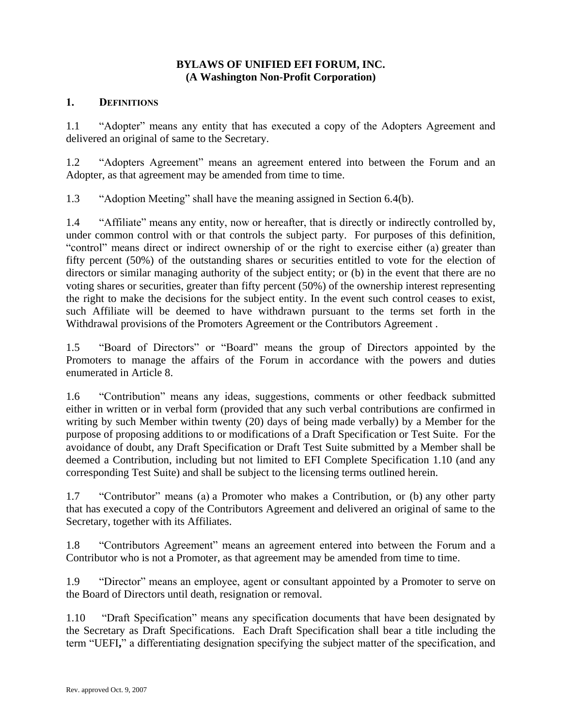#### **BYLAWS OF UNIFIED EFI FORUM, INC. (A Washington Non-Profit Corporation)**

#### **1. DEFINITIONS**

1.1 "Adopter" means any entity that has executed a copy of the Adopters Agreement and delivered an original of same to the Secretary.

1.2 "Adopters Agreement" means an agreement entered into between the Forum and an Adopter, as that agreement may be amended from time to time.

1.3 "Adoption Meeting" shall have the meaning assigned in Section 6.4(b).

1.4 "Affiliate" means any entity, now or hereafter, that is directly or indirectly controlled by, under common control with or that controls the subject party. For purposes of this definition, "control" means direct or indirect ownership of or the right to exercise either (a) greater than fifty percent (50%) of the outstanding shares or securities entitled to vote for the election of directors or similar managing authority of the subject entity; or (b) in the event that there are no voting shares or securities, greater than fifty percent (50%) of the ownership interest representing the right to make the decisions for the subject entity. In the event such control ceases to exist, such Affiliate will be deemed to have withdrawn pursuant to the terms set forth in the Withdrawal provisions of the Promoters Agreement or the Contributors Agreement .

1.5 "Board of Directors" or "Board" means the group of Directors appointed by the Promoters to manage the affairs of the Forum in accordance with the powers and duties enumerated in Article 8.

1.6 "Contribution" means any ideas, suggestions, comments or other feedback submitted either in written or in verbal form (provided that any such verbal contributions are confirmed in writing by such Member within twenty (20) days of being made verbally) by a Member for the purpose of proposing additions to or modifications of a Draft Specification or Test Suite. For the avoidance of doubt, any Draft Specification or Draft Test Suite submitted by a Member shall be deemed a Contribution, including but not limited to EFI Complete Specification 1.10 (and any corresponding Test Suite) and shall be subject to the licensing terms outlined herein.

1.7 "Contributor" means (a) a Promoter who makes a Contribution, or (b) any other party that has executed a copy of the Contributors Agreement and delivered an original of same to the Secretary, together with its Affiliates.

1.8 "Contributors Agreement" means an agreement entered into between the Forum and a Contributor who is not a Promoter, as that agreement may be amended from time to time.

1.9 "Director" means an employee, agent or consultant appointed by a Promoter to serve on the Board of Directors until death, resignation or removal.

1.10 "Draft Specification" means any specification documents that have been designated by the Secretary as Draft Specifications. Each Draft Specification shall bear a title including the term "UEFI**,**" a differentiating designation specifying the subject matter of the specification, and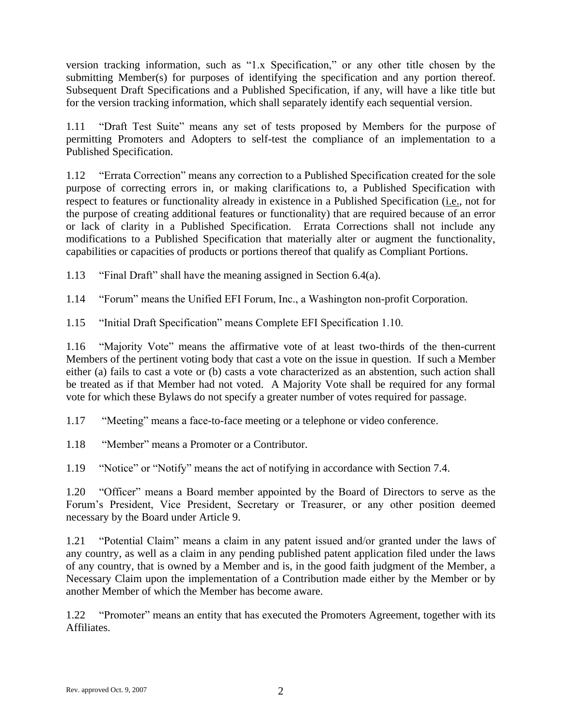version tracking information, such as "1.x Specification," or any other title chosen by the submitting Member(s) for purposes of identifying the specification and any portion thereof. Subsequent Draft Specifications and a Published Specification, if any, will have a like title but for the version tracking information, which shall separately identify each sequential version.

1.11 "Draft Test Suite" means any set of tests proposed by Members for the purpose of permitting Promoters and Adopters to self-test the compliance of an implementation to a Published Specification.

1.12 "Errata Correction" means any correction to a Published Specification created for the sole purpose of correcting errors in, or making clarifications to, a Published Specification with respect to features or functionality already in existence in a Published Specification (i.e., not for the purpose of creating additional features or functionality) that are required because of an error or lack of clarity in a Published Specification. Errata Corrections shall not include any modifications to a Published Specification that materially alter or augment the functionality, capabilities or capacities of products or portions thereof that qualify as Compliant Portions.

1.13 "Final Draft" shall have the meaning assigned in Section 6.4(a).

1.14 "Forum" means the Unified EFI Forum, Inc., a Washington non-profit Corporation.

1.15 "Initial Draft Specification" means Complete EFI Specification 1.10.

1.16 "Majority Vote" means the affirmative vote of at least two-thirds of the then-current Members of the pertinent voting body that cast a vote on the issue in question. If such a Member either (a) fails to cast a vote or (b) casts a vote characterized as an abstention, such action shall be treated as if that Member had not voted. A Majority Vote shall be required for any formal vote for which these Bylaws do not specify a greater number of votes required for passage.

1.17 "Meeting" means a face-to-face meeting or a telephone or video conference.

1.18 "Member" means a Promoter or a Contributor.

1.19 "Notice" or "Notify" means the act of notifying in accordance with Section 7.4.

1.20 "Officer" means a Board member appointed by the Board of Directors to serve as the Forum's President, Vice President, Secretary or Treasurer, or any other position deemed necessary by the Board under Article 9.

1.21 "Potential Claim" means a claim in any patent issued and/or granted under the laws of any country, as well as a claim in any pending published patent application filed under the laws of any country, that is owned by a Member and is, in the good faith judgment of the Member, a Necessary Claim upon the implementation of a Contribution made either by the Member or by another Member of which the Member has become aware.

1.22 "Promoter" means an entity that has executed the Promoters Agreement, together with its Affiliates.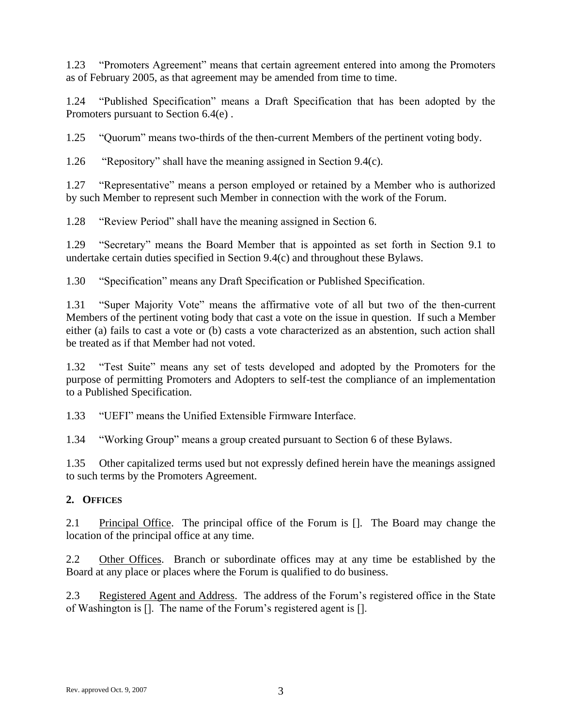1.23 "Promoters Agreement" means that certain agreement entered into among the Promoters as of February 2005, as that agreement may be amended from time to time.

1.24 "Published Specification" means a Draft Specification that has been adopted by the Promoters pursuant to Section 6.4(e) .

1.25 "Quorum" means two-thirds of the then-current Members of the pertinent voting body.

1.26 "Repository" shall have the meaning assigned in Section [9.4\(c\).](#page-15-0)

1.27 "Representative" means a person employed or retained by a Member who is authorized by such Member to represent such Member in connection with the work of the Forum.

1.28 "Review Period" shall have the meaning assigned in Section 6.

1.29 "Secretary" means the Board Member that is appointed as set forth in Section 9.1 to undertake certain duties specified in Section [9.4\(c\)](#page-15-1) and throughout these Bylaws.

1.30 "Specification" means any Draft Specification or Published Specification.

1.31 "Super Majority Vote" means the affirmative vote of all but two of the then-current Members of the pertinent voting body that cast a vote on the issue in question. If such a Member either (a) fails to cast a vote or (b) casts a vote characterized as an abstention, such action shall be treated as if that Member had not voted.

1.32 "Test Suite" means any set of tests developed and adopted by the Promoters for the purpose of permitting Promoters and Adopters to self-test the compliance of an implementation to a Published Specification.

1.33 "UEFI" means the Unified Extensible Firmware Interface.

1.34 "Working Group" means a group created pursuant to Section 6 of these Bylaws.

1.35 Other capitalized terms used but not expressly defined herein have the meanings assigned to such terms by the Promoters Agreement.

## **2. OFFICES**

2.1 Principal Office. The principal office of the Forum is []. The Board may change the location of the principal office at any time.

2.2 Other Offices. Branch or subordinate offices may at any time be established by the Board at any place or places where the Forum is qualified to do business.

2.3 Registered Agent and Address. The address of the Forum's registered office in the State of Washington is []. The name of the Forum's registered agent is [].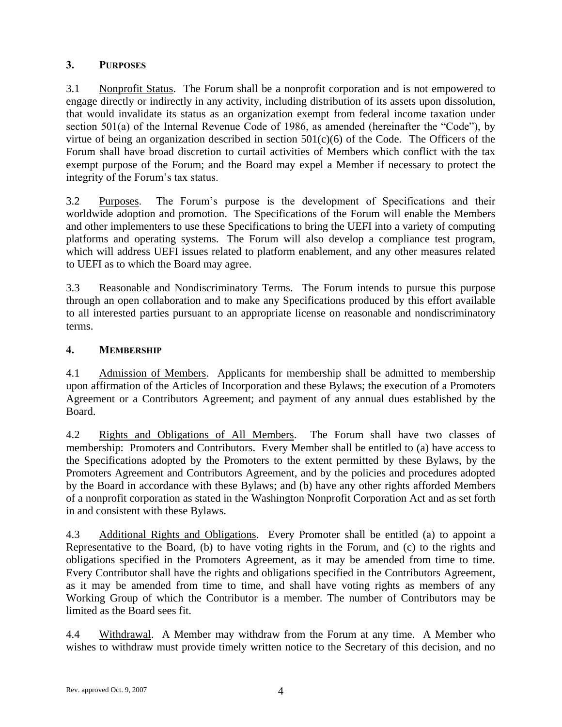## **3. PURPOSES**

3.1 Nonprofit Status. The Forum shall be a nonprofit corporation and is not empowered to engage directly or indirectly in any activity, including distribution of its assets upon dissolution, that would invalidate its status as an organization exempt from federal income taxation under section 501(a) of the Internal Revenue Code of 1986, as amended (hereinafter the "Code"), by virtue of being an organization described in section  $501(c)(6)$  of the Code. The Officers of the Forum shall have broad discretion to curtail activities of Members which conflict with the tax exempt purpose of the Forum; and the Board may expel a Member if necessary to protect the integrity of the Forum's tax status.

3.2 Purposes. The Forum's purpose is the development of Specifications and their worldwide adoption and promotion. The Specifications of the Forum will enable the Members and other implementers to use these Specifications to bring the UEFI into a variety of computing platforms and operating systems. The Forum will also develop a compliance test program, which will address UEFI issues related to platform enablement, and any other measures related to UEFI as to which the Board may agree.

3.3 Reasonable and Nondiscriminatory Terms. The Forum intends to pursue this purpose through an open collaboration and to make any Specifications produced by this effort available to all interested parties pursuant to an appropriate license on reasonable and nondiscriminatory terms.

## **4. MEMBERSHIP**

4.1 Admission of Members. Applicants for membership shall be admitted to membership upon affirmation of the Articles of Incorporation and these Bylaws; the execution of a Promoters Agreement or a Contributors Agreement; and payment of any annual dues established by the Board.

4.2 Rights and Obligations of All Members. The Forum shall have two classes of membership: Promoters and Contributors. Every Member shall be entitled to (a) have access to the Specifications adopted by the Promoters to the extent permitted by these Bylaws, by the Promoters Agreement and Contributors Agreement, and by the policies and procedures adopted by the Board in accordance with these Bylaws; and (b) have any other rights afforded Members of a nonprofit corporation as stated in the Washington Nonprofit Corporation Act and as set forth in and consistent with these Bylaws.

4.3 Additional Rights and Obligations. Every Promoter shall be entitled (a) to appoint a Representative to the Board, (b) to have voting rights in the Forum, and (c) to the rights and obligations specified in the Promoters Agreement, as it may be amended from time to time. Every Contributor shall have the rights and obligations specified in the Contributors Agreement, as it may be amended from time to time, and shall have voting rights as members of any Working Group of which the Contributor is a member. The number of Contributors may be limited as the Board sees fit.

4.4 Withdrawal. A Member may withdraw from the Forum at any time. A Member who wishes to withdraw must provide timely written notice to the Secretary of this decision, and no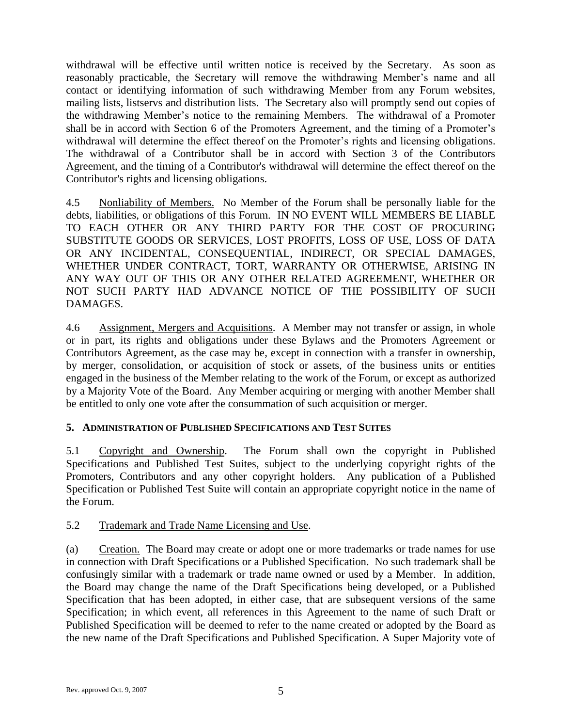withdrawal will be effective until written notice is received by the Secretary. As soon as reasonably practicable, the Secretary will remove the withdrawing Member's name and all contact or identifying information of such withdrawing Member from any Forum websites, mailing lists, listservs and distribution lists. The Secretary also will promptly send out copies of the withdrawing Member's notice to the remaining Members. The withdrawal of a Promoter shall be in accord with Section 6 of the Promoters Agreement, and the timing of a Promoter's withdrawal will determine the effect thereof on the Promoter's rights and licensing obligations. The withdrawal of a Contributor shall be in accord with Section 3 of the Contributors Agreement, and the timing of a Contributor's withdrawal will determine the effect thereof on the Contributor's rights and licensing obligations.

4.5 Nonliability of Members. No Member of the Forum shall be personally liable for the debts, liabilities, or obligations of this Forum. IN NO EVENT WILL MEMBERS BE LIABLE TO EACH OTHER OR ANY THIRD PARTY FOR THE COST OF PROCURING SUBSTITUTE GOODS OR SERVICES, LOST PROFITS, LOSS OF USE, LOSS OF DATA OR ANY INCIDENTAL, CONSEQUENTIAL, INDIRECT, OR SPECIAL DAMAGES, WHETHER UNDER CONTRACT, TORT, WARRANTY OR OTHERWISE, ARISING IN ANY WAY OUT OF THIS OR ANY OTHER RELATED AGREEMENT, WHETHER OR NOT SUCH PARTY HAD ADVANCE NOTICE OF THE POSSIBILITY OF SUCH DAMAGES.

4.6 Assignment, Mergers and Acquisitions. A Member may not transfer or assign, in whole or in part, its rights and obligations under these Bylaws and the Promoters Agreement or Contributors Agreement, as the case may be, except in connection with a transfer in ownership, by merger, consolidation, or acquisition of stock or assets, of the business units or entities engaged in the business of the Member relating to the work of the Forum, or except as authorized by a Majority Vote of the Board. Any Member acquiring or merging with another Member shall be entitled to only one vote after the consummation of such acquisition or merger.

## **5. ADMINISTRATION OF PUBLISHED SPECIFICATIONS AND TEST SUITES**

5.1 Copyright and Ownership. The Forum shall own the copyright in Published Specifications and Published Test Suites, subject to the underlying copyright rights of the Promoters, Contributors and any other copyright holders. Any publication of a Published Specification or Published Test Suite will contain an appropriate copyright notice in the name of the Forum.

## 5.2 Trademark and Trade Name Licensing and Use.

(a) Creation. The Board may create or adopt one or more trademarks or trade names for use in connection with Draft Specifications or a Published Specification. No such trademark shall be confusingly similar with a trademark or trade name owned or used by a Member. In addition, the Board may change the name of the Draft Specifications being developed, or a Published Specification that has been adopted, in either case, that are subsequent versions of the same Specification; in which event, all references in this Agreement to the name of such Draft or Published Specification will be deemed to refer to the name created or adopted by the Board as the new name of the Draft Specifications and Published Specification. A Super Majority vote of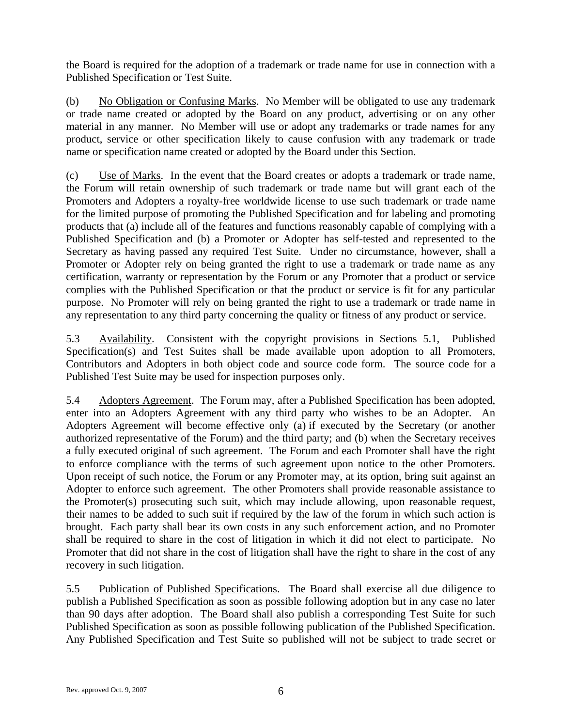the Board is required for the adoption of a trademark or trade name for use in connection with a Published Specification or Test Suite.

(b) No Obligation or Confusing Marks. No Member will be obligated to use any trademark or trade name created or adopted by the Board on any product, advertising or on any other material in any manner. No Member will use or adopt any trademarks or trade names for any product, service or other specification likely to cause confusion with any trademark or trade name or specification name created or adopted by the Board under this Section.

(c) Use of Marks. In the event that the Board creates or adopts a trademark or trade name, the Forum will retain ownership of such trademark or trade name but will grant each of the Promoters and Adopters a royalty-free worldwide license to use such trademark or trade name for the limited purpose of promoting the Published Specification and for labeling and promoting products that (a) include all of the features and functions reasonably capable of complying with a Published Specification and (b) a Promoter or Adopter has self-tested and represented to the Secretary as having passed any required Test Suite. Under no circumstance, however, shall a Promoter or Adopter rely on being granted the right to use a trademark or trade name as any certification, warranty or representation by the Forum or any Promoter that a product or service complies with the Published Specification or that the product or service is fit for any particular purpose. No Promoter will rely on being granted the right to use a trademark or trade name in any representation to any third party concerning the quality or fitness of any product or service.

5.3 Availability. Consistent with the copyright provisions in Sections 5.1, Published Specification(s) and Test Suites shall be made available upon adoption to all Promoters, Contributors and Adopters in both object code and source code form. The source code for a Published Test Suite may be used for inspection purposes only.

5.4 Adopters Agreement. The Forum may, after a Published Specification has been adopted, enter into an Adopters Agreement with any third party who wishes to be an Adopter. An Adopters Agreement will become effective only (a) if executed by the Secretary (or another authorized representative of the Forum) and the third party; and (b) when the Secretary receives a fully executed original of such agreement. The Forum and each Promoter shall have the right to enforce compliance with the terms of such agreement upon notice to the other Promoters. Upon receipt of such notice, the Forum or any Promoter may, at its option, bring suit against an Adopter to enforce such agreement. The other Promoters shall provide reasonable assistance to the Promoter(s) prosecuting such suit, which may include allowing, upon reasonable request, their names to be added to such suit if required by the law of the forum in which such action is brought. Each party shall bear its own costs in any such enforcement action, and no Promoter shall be required to share in the cost of litigation in which it did not elect to participate. No Promoter that did not share in the cost of litigation shall have the right to share in the cost of any recovery in such litigation.

5.5 Publication of Published Specifications. The Board shall exercise all due diligence to publish a Published Specification as soon as possible following adoption but in any case no later than 90 days after adoption. The Board shall also publish a corresponding Test Suite for such Published Specification as soon as possible following publication of the Published Specification. Any Published Specification and Test Suite so published will not be subject to trade secret or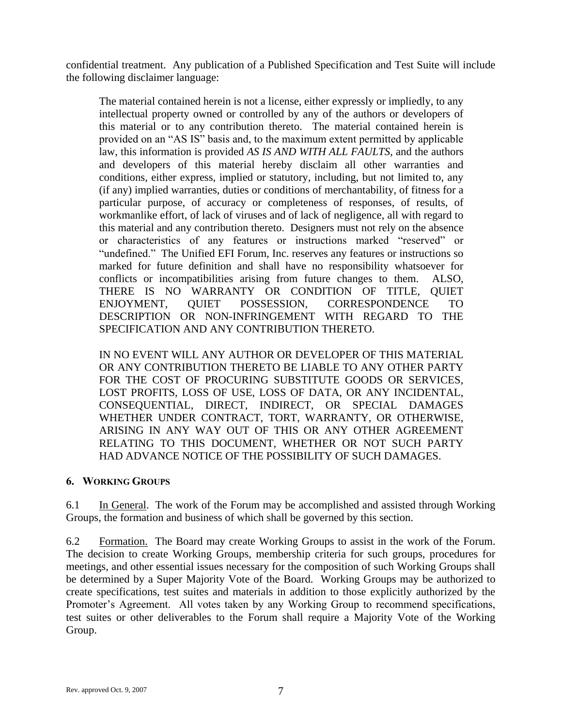confidential treatment. Any publication of a Published Specification and Test Suite will include the following disclaimer language:

The material contained herein is not a license, either expressly or impliedly, to any intellectual property owned or controlled by any of the authors or developers of this material or to any contribution thereto. The material contained herein is provided on an "AS IS" basis and, to the maximum extent permitted by applicable law, this information is provided *AS IS AND WITH ALL FAULTS*, and the authors and developers of this material hereby disclaim all other warranties and conditions, either express, implied or statutory, including, but not limited to, any (if any) implied warranties, duties or conditions of merchantability, of fitness for a particular purpose, of accuracy or completeness of responses, of results, of workmanlike effort, of lack of viruses and of lack of negligence, all with regard to this material and any contribution thereto. Designers must not rely on the absence or characteristics of any features or instructions marked "reserved" or "undefined." The Unified EFI Forum, Inc. reserves any features or instructions so marked for future definition and shall have no responsibility whatsoever for conflicts or incompatibilities arising from future changes to them. ALSO, THERE IS NO WARRANTY OR CONDITION OF TITLE, QUIET ENJOYMENT, QUIET POSSESSION, CORRESPONDENCE TO DESCRIPTION OR NON-INFRINGEMENT WITH REGARD TO THE SPECIFICATION AND ANY CONTRIBUTION THERETO.

IN NO EVENT WILL ANY AUTHOR OR DEVELOPER OF THIS MATERIAL OR ANY CONTRIBUTION THERETO BE LIABLE TO ANY OTHER PARTY FOR THE COST OF PROCURING SUBSTITUTE GOODS OR SERVICES, LOST PROFITS, LOSS OF USE, LOSS OF DATA, OR ANY INCIDENTAL, CONSEQUENTIAL, DIRECT, INDIRECT, OR SPECIAL DAMAGES WHETHER UNDER CONTRACT, TORT, WARRANTY, OR OTHERWISE, ARISING IN ANY WAY OUT OF THIS OR ANY OTHER AGREEMENT RELATING TO THIS DOCUMENT, WHETHER OR NOT SUCH PARTY HAD ADVANCE NOTICE OF THE POSSIBILITY OF SUCH DAMAGES.

#### **6. WORKING GROUPS**

6.1 In General. The work of the Forum may be accomplished and assisted through Working Groups, the formation and business of which shall be governed by this section.

6.2 Formation. The Board may create Working Groups to assist in the work of the Forum. The decision to create Working Groups, membership criteria for such groups, procedures for meetings, and other essential issues necessary for the composition of such Working Groups shall be determined by a Super Majority Vote of the Board. Working Groups may be authorized to create specifications, test suites and materials in addition to those explicitly authorized by the Promoter's Agreement. All votes taken by any Working Group to recommend specifications, test suites or other deliverables to the Forum shall require a Majority Vote of the Working Group.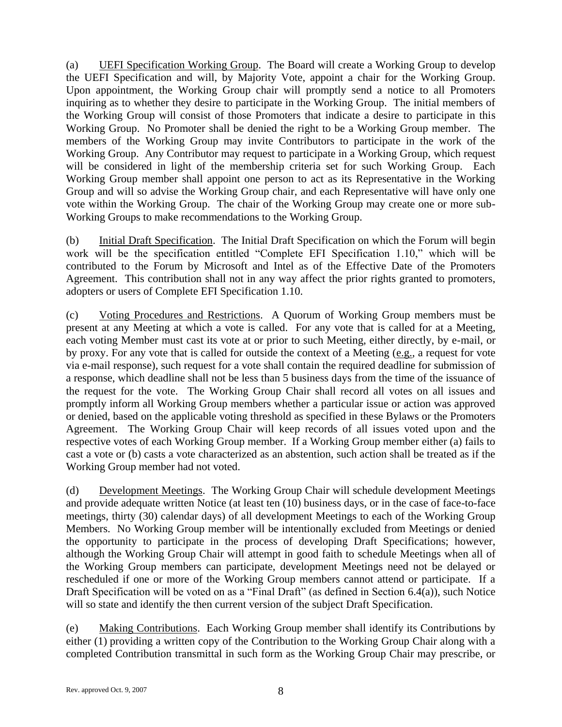(a) UEFI Specification Working Group. The Board will create a Working Group to develop the UEFI Specification and will, by Majority Vote, appoint a chair for the Working Group. Upon appointment, the Working Group chair will promptly send a notice to all Promoters inquiring as to whether they desire to participate in the Working Group. The initial members of the Working Group will consist of those Promoters that indicate a desire to participate in this Working Group. No Promoter shall be denied the right to be a Working Group member. The members of the Working Group may invite Contributors to participate in the work of the Working Group. Any Contributor may request to participate in a Working Group, which request will be considered in light of the membership criteria set for such Working Group. Each Working Group member shall appoint one person to act as its Representative in the Working Group and will so advise the Working Group chair, and each Representative will have only one vote within the Working Group. The chair of the Working Group may create one or more sub-Working Groups to make recommendations to the Working Group.

(b) Initial Draft Specification. The Initial Draft Specification on which the Forum will begin work will be the specification entitled "Complete EFI Specification 1.10," which will be contributed to the Forum by Microsoft and Intel as of the Effective Date of the Promoters Agreement. This contribution shall not in any way affect the prior rights granted to promoters, adopters or users of Complete EFI Specification 1.10.

(c) Voting Procedures and Restrictions. A Quorum of Working Group members must be present at any Meeting at which a vote is called. For any vote that is called for at a Meeting, each voting Member must cast its vote at or prior to such Meeting, either directly, by e-mail, or by proxy. For any vote that is called for outside the context of a Meeting (e.g., a request for vote via e-mail response), such request for a vote shall contain the required deadline for submission of a response, which deadline shall not be less than 5 business days from the time of the issuance of the request for the vote. The Working Group Chair shall record all votes on all issues and promptly inform all Working Group members whether a particular issue or action was approved or denied, based on the applicable voting threshold as specified in these Bylaws or the Promoters Agreement. The Working Group Chair will keep records of all issues voted upon and the respective votes of each Working Group member. If a Working Group member either (a) fails to cast a vote or (b) casts a vote characterized as an abstention, such action shall be treated as if the Working Group member had not voted.

<span id="page-7-0"></span>(d) Development Meetings. The Working Group Chair will schedule development Meetings and provide adequate written Notice (at least ten (10) business days, or in the case of face-to-face meetings, thirty (30) calendar days) of all development Meetings to each of the Working Group Members. No Working Group member will be intentionally excluded from Meetings or denied the opportunity to participate in the process of developing Draft Specifications; however, although the Working Group Chair will attempt in good faith to schedule Meetings when all of the Working Group members can participate, development Meetings need not be delayed or rescheduled if one or more of the Working Group members cannot attend or participate. If a Draft Specification will be voted on as a "Final Draft" (as defined in Section [6.4\(a\)\)](#page-8-0), such Notice will so state and identify the then current version of the subject Draft Specification.

(e) Making Contributions. Each Working Group member shall identify its Contributions by either (1) providing a written copy of the Contribution to the Working Group Chair along with a completed Contribution transmittal in such form as the Working Group Chair may prescribe, or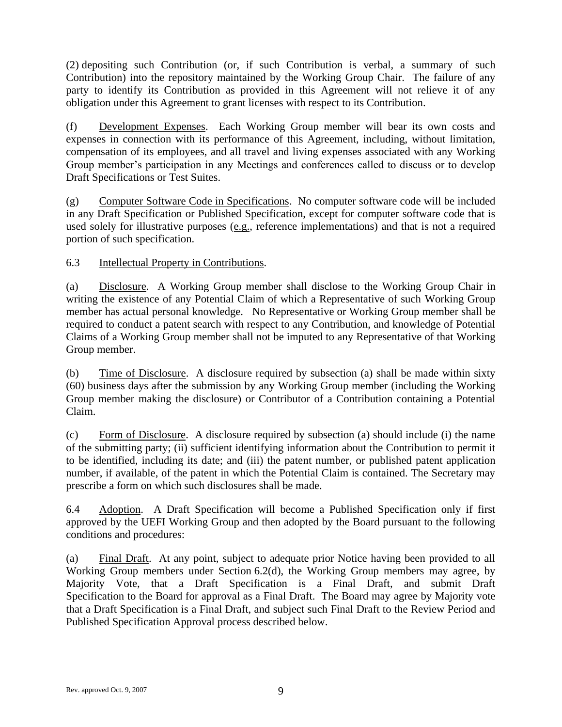(2) depositing such Contribution (or, if such Contribution is verbal, a summary of such Contribution) into the repository maintained by the Working Group Chair. The failure of any party to identify its Contribution as provided in this Agreement will not relieve it of any obligation under this Agreement to grant licenses with respect to its Contribution.

(f) Development Expenses. Each Working Group member will bear its own costs and expenses in connection with its performance of this Agreement, including, without limitation, compensation of its employees, and all travel and living expenses associated with any Working Group member's participation in any Meetings and conferences called to discuss or to develop Draft Specifications or Test Suites.

(g) Computer Software Code in Specifications. No computer software code will be included in any Draft Specification or Published Specification, except for computer software code that is used solely for illustrative purposes (e.g., reference implementations) and that is not a required portion of such specification.

6.3 Intellectual Property in Contributions.

(a) Disclosure. A Working Group member shall disclose to the Working Group Chair in writing the existence of any Potential Claim of which a Representative of such Working Group member has actual personal knowledge. No Representative or Working Group member shall be required to conduct a patent search with respect to any Contribution, and knowledge of Potential Claims of a Working Group member shall not be imputed to any Representative of that Working Group member.

(b) Time of Disclosure. A disclosure required by subsection (a) shall be made within sixty (60) business days after the submission by any Working Group member (including the Working Group member making the disclosure) or Contributor of a Contribution containing a Potential Claim.

<span id="page-8-1"></span>(c) Form of Disclosure. A disclosure required by subsection (a) should include (i) the name of the submitting party; (ii) sufficient identifying information about the Contribution to permit it to be identified, including its date; and (iii) the patent number, or published patent application number, if available, of the patent in which the Potential Claim is contained. The Secretary may prescribe a form on which such disclosures shall be made.

6.4 Adoption. A Draft Specification will become a Published Specification only if first approved by the UEFI Working Group and then adopted by the Board pursuant to the following conditions and procedures:

<span id="page-8-0"></span>(a) Final Draft. At any point, subject to adequate prior Notice having been provided to all Working Group members under Section [6.2\(d\),](#page-7-0) the Working Group members may agree, by Majority Vote, that a Draft Specification is a Final Draft, and submit Draft Specification to the Board for approval as a Final Draft. The Board may agree by Majority vote that a Draft Specification is a Final Draft, and subject such Final Draft to the Review Period and Published Specification Approval process described below.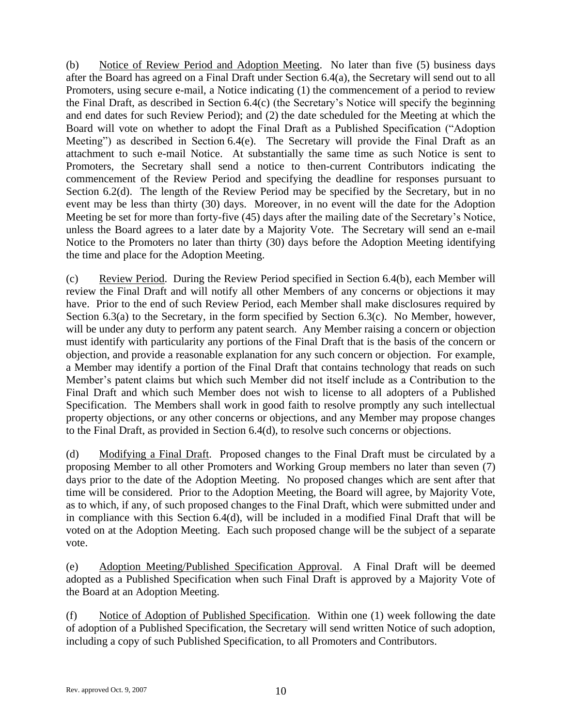<span id="page-9-2"></span>(b) Notice of Review Period and Adoption Meeting. No later than five (5) business days after the Board has agreed on a Final Draft under Section [6.4\(a\),](#page-8-0) the Secretary will send out to all Promoters, using secure e-mail, a Notice indicating (1) the commencement of a period to review the Final Draft, as described in Section [6.4\(c\)](#page-9-0) (the Secretary's Notice will specify the beginning and end dates for such Review Period); and (2) the date scheduled for the Meeting at which the Board will vote on whether to adopt the Final Draft as a Published Specification ("Adoption Meeting") as described in Section [6.4\(e\).](#page-9-1) The Secretary will provide the Final Draft as an attachment to such e-mail Notice. At substantially the same time as such Notice is sent to Promoters, the Secretary shall send a notice to then-current Contributors indicating the commencement of the Review Period and specifying the deadline for responses pursuant to Section [6.2\(d\).](#page-7-0) The length of the Review Period may be specified by the Secretary, but in no event may be less than thirty (30) days. Moreover, in no event will the date for the Adoption Meeting be set for more than forty-five (45) days after the mailing date of the Secretary's Notice, unless the Board agrees to a later date by a Majority Vote. The Secretary will send an e-mail Notice to the Promoters no later than thirty (30) days before the Adoption Meeting identifying the time and place for the Adoption Meeting.

<span id="page-9-0"></span>(c) Review Period. During the Review Period specified in Section [6.4\(b\),](#page-9-2) each Member will review the Final Draft and will notify all other Members of any concerns or objections it may have. Prior to the end of such Review Period, each Member shall make disclosures required by Section 6.3(a) to the Secretary, in the form specified by Section [6.3\(c\).](#page-8-1) No Member, however, will be under any duty to perform any patent search. Any Member raising a concern or objection must identify with particularity any portions of the Final Draft that is the basis of the concern or objection, and provide a reasonable explanation for any such concern or objection. For example, a Member may identify a portion of the Final Draft that contains technology that reads on such Member's patent claims but which such Member did not itself include as a Contribution to the Final Draft and which such Member does not wish to license to all adopters of a Published Specification. The Members shall work in good faith to resolve promptly any such intellectual property objections, or any other concerns or objections, and any Member may propose changes to the Final Draft, as provided in Section [6.4\(d\),](#page-9-3) to resolve such concerns or objections.

<span id="page-9-3"></span>(d) Modifying a Final Draft. Proposed changes to the Final Draft must be circulated by a proposing Member to all other Promoters and Working Group members no later than seven (7) days prior to the date of the Adoption Meeting. No proposed changes which are sent after that time will be considered. Prior to the Adoption Meeting, the Board will agree, by Majority Vote, as to which, if any, of such proposed changes to the Final Draft, which were submitted under and in compliance with this Section [6.4\(d\),](#page-9-3) will be included in a modified Final Draft that will be voted on at the Adoption Meeting. Each such proposed change will be the subject of a separate vote.

<span id="page-9-1"></span>(e) Adoption Meeting/Published Specification Approval. A Final Draft will be deemed adopted as a Published Specification when such Final Draft is approved by a Majority Vote of the Board at an Adoption Meeting.

(f) Notice of Adoption of Published Specification. Within one (1) week following the date of adoption of a Published Specification, the Secretary will send written Notice of such adoption, including a copy of such Published Specification, to all Promoters and Contributors.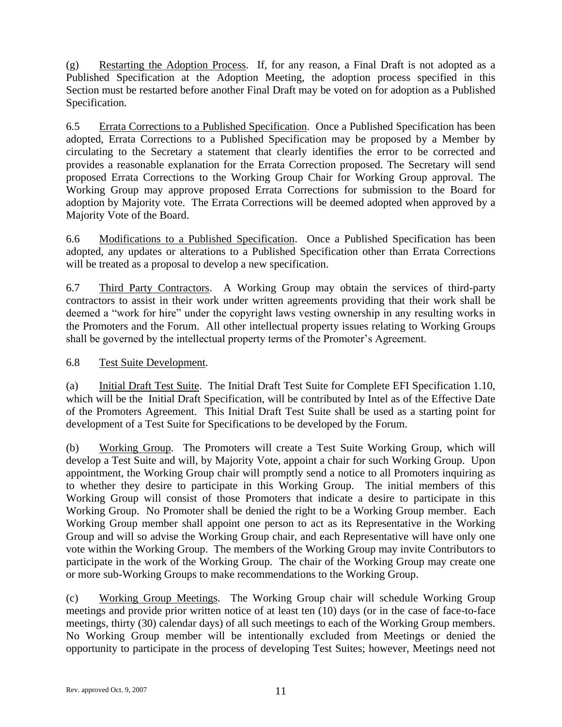(g) Restarting the Adoption Process. If, for any reason, a Final Draft is not adopted as a Published Specification at the Adoption Meeting, the adoption process specified in this Section must be restarted before another Final Draft may be voted on for adoption as a Published Specification.

6.5 Errata Corrections to a Published Specification. Once a Published Specification has been adopted, Errata Corrections to a Published Specification may be proposed by a Member by circulating to the Secretary a statement that clearly identifies the error to be corrected and provides a reasonable explanation for the Errata Correction proposed. The Secretary will send proposed Errata Corrections to the Working Group Chair for Working Group approval. The Working Group may approve proposed Errata Corrections for submission to the Board for adoption by Majority vote. The Errata Corrections will be deemed adopted when approved by a Majority Vote of the Board.

6.6 Modifications to a Published Specification. Once a Published Specification has been adopted, any updates or alterations to a Published Specification other than Errata Corrections will be treated as a proposal to develop a new specification.

6.7 Third Party Contractors. A Working Group may obtain the services of third-party contractors to assist in their work under written agreements providing that their work shall be deemed a "work for hire" under the copyright laws vesting ownership in any resulting works in the Promoters and the Forum. All other intellectual property issues relating to Working Groups shall be governed by the intellectual property terms of the Promoter's Agreement.

## 6.8 Test Suite Development.

(a) Initial Draft Test Suite. The Initial Draft Test Suite for Complete EFI Specification 1.10, which will be the Initial Draft Specification, will be contributed by Intel as of the Effective Date of the Promoters Agreement. This Initial Draft Test Suite shall be used as a starting point for development of a Test Suite for Specifications to be developed by the Forum.

(b) Working Group. The Promoters will create a Test Suite Working Group, which will develop a Test Suite and will, by Majority Vote, appoint a chair for such Working Group. Upon appointment, the Working Group chair will promptly send a notice to all Promoters inquiring as to whether they desire to participate in this Working Group. The initial members of this Working Group will consist of those Promoters that indicate a desire to participate in this Working Group. No Promoter shall be denied the right to be a Working Group member. Each Working Group member shall appoint one person to act as its Representative in the Working Group and will so advise the Working Group chair, and each Representative will have only one vote within the Working Group. The members of the Working Group may invite Contributors to participate in the work of the Working Group. The chair of the Working Group may create one or more sub-Working Groups to make recommendations to the Working Group.

(c) Working Group Meetings. The Working Group chair will schedule Working Group meetings and provide prior written notice of at least ten (10) days (or in the case of face-to-face meetings, thirty (30) calendar days) of all such meetings to each of the Working Group members. No Working Group member will be intentionally excluded from Meetings or denied the opportunity to participate in the process of developing Test Suites; however, Meetings need not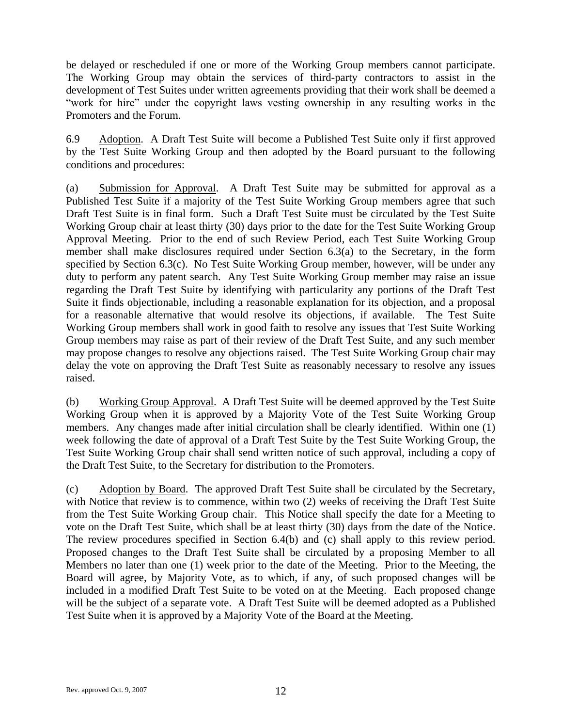be delayed or rescheduled if one or more of the Working Group members cannot participate. The Working Group may obtain the services of third-party contractors to assist in the development of Test Suites under written agreements providing that their work shall be deemed a "work for hire" under the copyright laws vesting ownership in any resulting works in the Promoters and the Forum.

<span id="page-11-0"></span>6.9 Adoption. A Draft Test Suite will become a Published Test Suite only if first approved by the Test Suite Working Group and then adopted by the Board pursuant to the following conditions and procedures:

(a) Submission for Approval. A Draft Test Suite may be submitted for approval as a Published Test Suite if a majority of the Test Suite Working Group members agree that such Draft Test Suite is in final form. Such a Draft Test Suite must be circulated by the Test Suite Working Group chair at least thirty (30) days prior to the date for the Test Suite Working Group Approval Meeting. Prior to the end of such Review Period, each Test Suite Working Group member shall make disclosures required under Section 6.3(a) to the Secretary, in the form specified by Section [6.3\(c\).](#page-8-1) No Test Suite Working Group member, however, will be under any duty to perform any patent search. Any Test Suite Working Group member may raise an issue regarding the Draft Test Suite by identifying with particularity any portions of the Draft Test Suite it finds objectionable, including a reasonable explanation for its objection, and a proposal for a reasonable alternative that would resolve its objections, if available. The Test Suite Working Group members shall work in good faith to resolve any issues that Test Suite Working Group members may raise as part of their review of the Draft Test Suite, and any such member may propose changes to resolve any objections raised. The Test Suite Working Group chair may delay the vote on approving the Draft Test Suite as reasonably necessary to resolve any issues raised.

(b) Working Group Approval. A Draft Test Suite will be deemed approved by the Test Suite Working Group when it is approved by a Majority Vote of the Test Suite Working Group members. Any changes made after initial circulation shall be clearly identified. Within one (1) week following the date of approval of a Draft Test Suite by the Test Suite Working Group, the Test Suite Working Group chair shall send written notice of such approval, including a copy of the Draft Test Suite, to the Secretary for distribution to the Promoters.

(c) Adoption by Board. The approved Draft Test Suite shall be circulated by the Secretary, with Notice that review is to commence, within two (2) weeks of receiving the Draft Test Suite from the Test Suite Working Group chair. This Notice shall specify the date for a Meeting to vote on the Draft Test Suite, which shall be at least thirty (30) days from the date of the Notice. The review procedures specified in Section 6.4(b) and (c) shall apply to this review period. Proposed changes to the Draft Test Suite shall be circulated by a proposing Member to all Members no later than one (1) week prior to the date of the Meeting. Prior to the Meeting, the Board will agree, by Majority Vote, as to which, if any, of such proposed changes will be included in a modified Draft Test Suite to be voted on at the Meeting. Each proposed change will be the subject of a separate vote. A Draft Test Suite will be deemed adopted as a Published Test Suite when it is approved by a Majority Vote of the Board at the Meeting.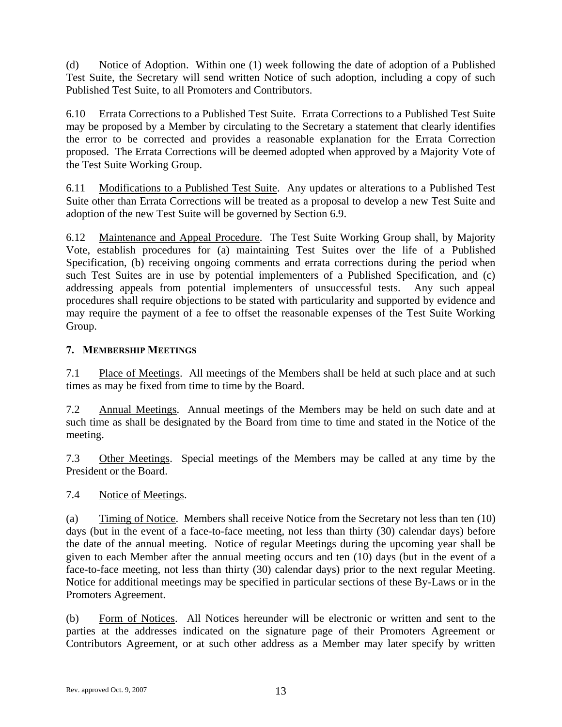(d) Notice of Adoption. Within one (1) week following the date of adoption of a Published Test Suite, the Secretary will send written Notice of such adoption, including a copy of such Published Test Suite, to all Promoters and Contributors.

6.10 Errata Corrections to a Published Test Suite. Errata Corrections to a Published Test Suite may be proposed by a Member by circulating to the Secretary a statement that clearly identifies the error to be corrected and provides a reasonable explanation for the Errata Correction proposed. The Errata Corrections will be deemed adopted when approved by a Majority Vote of the Test Suite Working Group.

6.11 Modifications to a Published Test Suite. Any updates or alterations to a Published Test Suite other than Errata Corrections will be treated as a proposal to develop a new Test Suite and adoption of the new Test Suite will be governed by Section [6.9.](#page-11-0)

6.12 Maintenance and Appeal Procedure. The Test Suite Working Group shall, by Majority Vote, establish procedures for (a) maintaining Test Suites over the life of a Published Specification, (b) receiving ongoing comments and errata corrections during the period when such Test Suites are in use by potential implementers of a Published Specification, and (c) addressing appeals from potential implementers of unsuccessful tests. Any such appeal procedures shall require objections to be stated with particularity and supported by evidence and may require the payment of a fee to offset the reasonable expenses of the Test Suite Working Group.

## **7. MEMBERSHIP MEETINGS**

7.1 Place of Meetings. All meetings of the Members shall be held at such place and at such times as may be fixed from time to time by the Board.

7.2 Annual Meetings. Annual meetings of the Members may be held on such date and at such time as shall be designated by the Board from time to time and stated in the Notice of the meeting.

7.3 Other Meetings. Special meetings of the Members may be called at any time by the President or the Board.

## 7.4 Notice of Meetings.

(a) Timing of Notice. Members shall receive Notice from the Secretary not less than ten (10) days (but in the event of a face-to-face meeting, not less than thirty (30) calendar days) before the date of the annual meeting. Notice of regular Meetings during the upcoming year shall be given to each Member after the annual meeting occurs and ten (10) days (but in the event of a face-to-face meeting, not less than thirty (30) calendar days) prior to the next regular Meeting. Notice for additional meetings may be specified in particular sections of these By-Laws or in the Promoters Agreement.

(b) Form of Notices. All Notices hereunder will be electronic or written and sent to the parties at the addresses indicated on the signature page of their Promoters Agreement or Contributors Agreement, or at such other address as a Member may later specify by written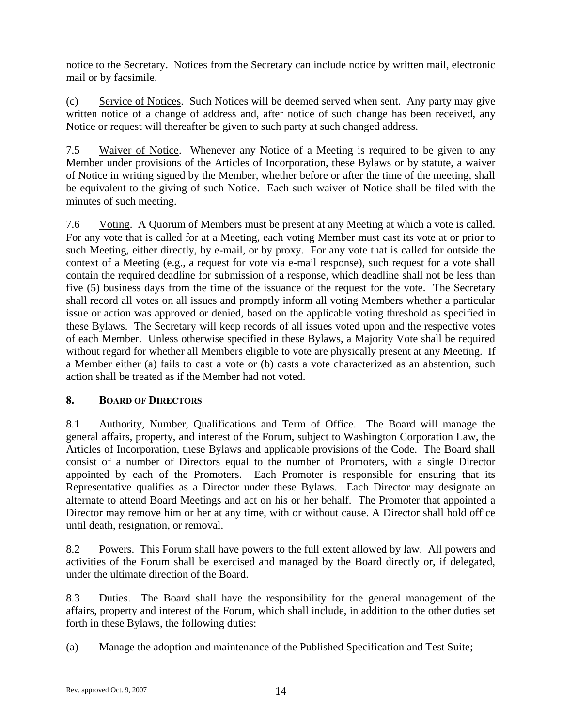notice to the Secretary. Notices from the Secretary can include notice by written mail, electronic mail or by facsimile.

(c) Service of Notices. Such Notices will be deemed served when sent. Any party may give written notice of a change of address and, after notice of such change has been received, any Notice or request will thereafter be given to such party at such changed address.

7.5 Waiver of Notice. Whenever any Notice of a Meeting is required to be given to any Member under provisions of the Articles of Incorporation, these Bylaws or by statute, a waiver of Notice in writing signed by the Member, whether before or after the time of the meeting, shall be equivalent to the giving of such Notice. Each such waiver of Notice shall be filed with the minutes of such meeting.

7.6 Voting. A Quorum of Members must be present at any Meeting at which a vote is called. For any vote that is called for at a Meeting, each voting Member must cast its vote at or prior to such Meeting, either directly, by e-mail, or by proxy. For any vote that is called for outside the context of a Meeting (e.g., a request for vote via e-mail response), such request for a vote shall contain the required deadline for submission of a response, which deadline shall not be less than five (5) business days from the time of the issuance of the request for the vote. The Secretary shall record all votes on all issues and promptly inform all voting Members whether a particular issue or action was approved or denied, based on the applicable voting threshold as specified in these Bylaws. The Secretary will keep records of all issues voted upon and the respective votes of each Member. Unless otherwise specified in these Bylaws, a Majority Vote shall be required without regard for whether all Members eligible to vote are physically present at any Meeting. If a Member either (a) fails to cast a vote or (b) casts a vote characterized as an abstention, such action shall be treated as if the Member had not voted.

## **8. BOARD OF DIRECTORS**

8.1 Authority, Number, Qualifications and Term of Office. The Board will manage the general affairs, property, and interest of the Forum, subject to Washington Corporation Law, the Articles of Incorporation, these Bylaws and applicable provisions of the Code. The Board shall consist of a number of Directors equal to the number of Promoters, with a single Director appointed by each of the Promoters. Each Promoter is responsible for ensuring that its Representative qualifies as a Director under these Bylaws. Each Director may designate an alternate to attend Board Meetings and act on his or her behalf. The Promoter that appointed a Director may remove him or her at any time, with or without cause. A Director shall hold office until death, resignation, or removal.

8.2 Powers. This Forum shall have powers to the full extent allowed by law. All powers and activities of the Forum shall be exercised and managed by the Board directly or, if delegated, under the ultimate direction of the Board.

8.3 Duties. The Board shall have the responsibility for the general management of the affairs, property and interest of the Forum, which shall include, in addition to the other duties set forth in these Bylaws, the following duties:

(a) Manage the adoption and maintenance of the Published Specification and Test Suite;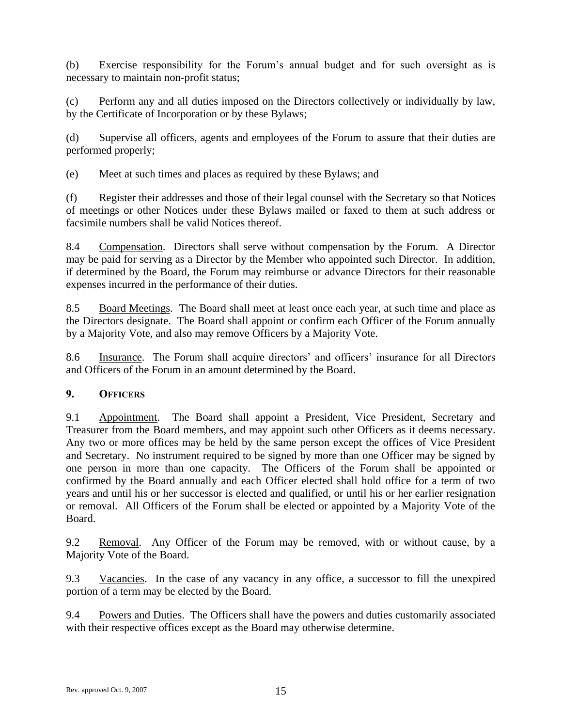(b) Exercise responsibility for the Forum's annual budget and for such oversight as is necessary to maintain non-profit status;

(c) Perform any and all duties imposed on the Directors collectively or individually by law, by the Certificate of Incorporation or by these Bylaws;

(d) Supervise all officers, agents and employees of the Forum to assure that their duties are performed properly;

(e) Meet at such times and places as required by these Bylaws; and

(f) Register their addresses and those of their legal counsel with the Secretary so that Notices of meetings or other Notices under these Bylaws mailed or faxed to them at such address or facsimile numbers shall be valid Notices thereof.

8.4 Compensation. Directors shall serve without compensation by the Forum. A Director may be paid for serving as a Director by the Member who appointed such Director. In addition, if determined by the Board, the Forum may reimburse or advance Directors for their reasonable expenses incurred in the performance of their duties.

8.5 Board Meetings. The Board shall meet at least once each year, at such time and place as the Directors designate. The Board shall appoint or confirm each Officer of the Forum annually by a Majority Vote, and also may remove Officers by a Majority Vote.

8.6 Insurance. The Forum shall acquire directors' and officers' insurance for all Directors and Officers of the Forum in an amount determined by the Board.

## **9. OFFICERS**

9.1 Appointment. The Board shall appoint a President, Vice President, Secretary and Treasurer from the Board members, and may appoint such other Officers as it deems necessary. Any two or more offices may be held by the same person except the offices of Vice President and Secretary. No instrument required to be signed by more than one Officer may be signed by one person in more than one capacity. The Officers of the Forum shall be appointed or confirmed by the Board annually and each Officer elected shall hold office for a term of two years and until his or her successor is elected and qualified, or until his or her earlier resignation or removal. All Officers of the Forum shall be elected or appointed by a Majority Vote of the Board.

9.2 Removal. Any Officer of the Forum may be removed, with or without cause, by a Majority Vote of the Board.

9.3 Vacancies. In the case of any vacancy in any office, a successor to fill the unexpired portion of a term may be elected by the Board.

9.4 Powers and Duties. The Officers shall have the powers and duties customarily associated with their respective offices except as the Board may otherwise determine.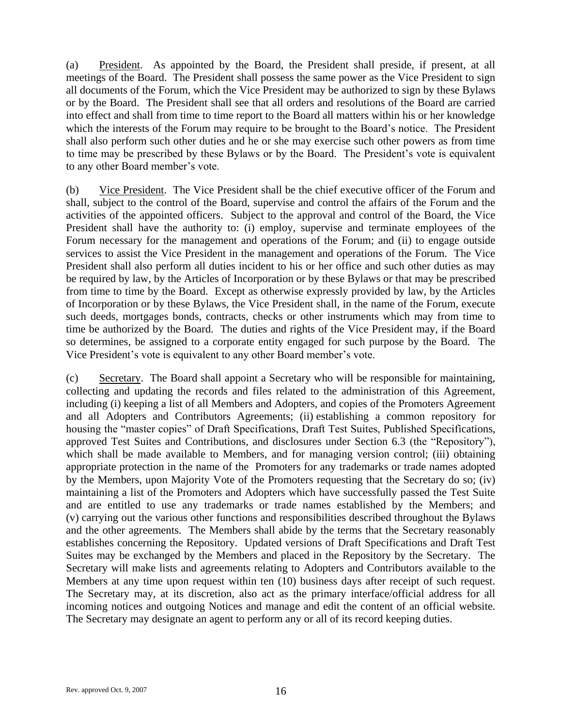(a) President. As appointed by the Board, the President shall preside, if present, at all meetings of the Board. The President shall possess the same power as the Vice President to sign all documents of the Forum, which the Vice President may be authorized to sign by these Bylaws or by the Board. The President shall see that all orders and resolutions of the Board are carried into effect and shall from time to time report to the Board all matters within his or her knowledge which the interests of the Forum may require to be brought to the Board's notice. The President shall also perform such other duties and he or she may exercise such other powers as from time to time may be prescribed by these Bylaws or by the Board. The President's vote is equivalent to any other Board member's vote.

(b) Vice President. The Vice President shall be the chief executive officer of the Forum and shall, subject to the control of the Board, supervise and control the affairs of the Forum and the activities of the appointed officers. Subject to the approval and control of the Board, the Vice President shall have the authority to: (i) employ, supervise and terminate employees of the Forum necessary for the management and operations of the Forum; and (ii) to engage outside services to assist the Vice President in the management and operations of the Forum. The Vice President shall also perform all duties incident to his or her office and such other duties as may be required by law, by the Articles of Incorporation or by these Bylaws or that may be prescribed from time to time by the Board. Except as otherwise expressly provided by law, by the Articles of Incorporation or by these Bylaws, the Vice President shall, in the name of the Forum, execute such deeds, mortgages bonds, contracts, checks or other instruments which may from time to time be authorized by the Board. The duties and rights of the Vice President may, if the Board so determines, be assigned to a corporate entity engaged for such purpose by the Board. The Vice President's vote is equivalent to any other Board member's vote.

<span id="page-15-1"></span><span id="page-15-0"></span>(c) Secretary. The Board shall appoint a Secretary who will be responsible for maintaining, collecting and updating the records and files related to the administration of this Agreement, including (i) keeping a list of all Members and Adopters, and copies of the Promoters Agreement and all Adopters and Contributors Agreements; (ii) establishing a common repository for housing the "master copies" of Draft Specifications, Draft Test Suites, Published Specifications, approved Test Suites and Contributions, and disclosures under Section 6.3 (the "Repository"), which shall be made available to Members, and for managing version control; (iii) obtaining appropriate protection in the name of the Promoters for any trademarks or trade names adopted by the Members, upon Majority Vote of the Promoters requesting that the Secretary do so; (iv) maintaining a list of the Promoters and Adopters which have successfully passed the Test Suite and are entitled to use any trademarks or trade names established by the Members; and (v) carrying out the various other functions and responsibilities described throughout the Bylaws and the other agreements. The Members shall abide by the terms that the Secretary reasonably establishes concerning the Repository. Updated versions of Draft Specifications and Draft Test Suites may be exchanged by the Members and placed in the Repository by the Secretary. The Secretary will make lists and agreements relating to Adopters and Contributors available to the Members at any time upon request within ten (10) business days after receipt of such request. The Secretary may, at its discretion, also act as the primary interface/official address for all incoming notices and outgoing Notices and manage and edit the content of an official website. The Secretary may designate an agent to perform any or all of its record keeping duties.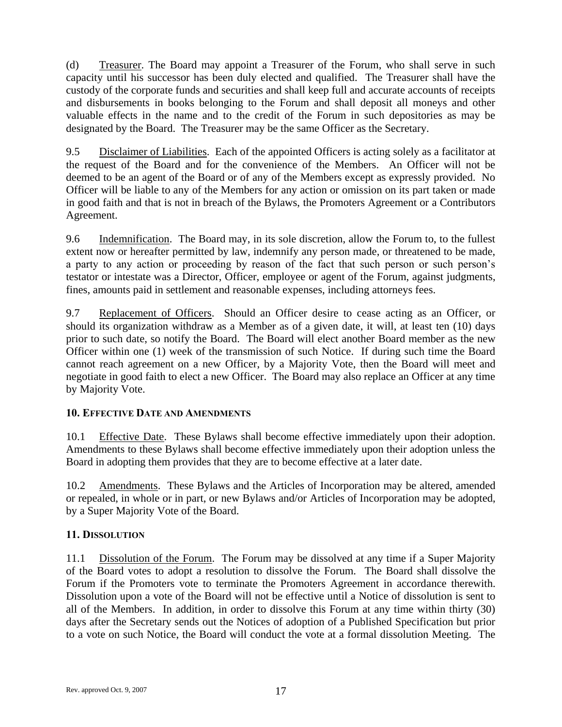(d) Treasurer. The Board may appoint a Treasurer of the Forum, who shall serve in such capacity until his successor has been duly elected and qualified. The Treasurer shall have the custody of the corporate funds and securities and shall keep full and accurate accounts of receipts and disbursements in books belonging to the Forum and shall deposit all moneys and other valuable effects in the name and to the credit of the Forum in such depositories as may be designated by the Board. The Treasurer may be the same Officer as the Secretary.

9.5 Disclaimer of Liabilities. Each of the appointed Officers is acting solely as a facilitator at the request of the Board and for the convenience of the Members. An Officer will not be deemed to be an agent of the Board or of any of the Members except as expressly provided. No Officer will be liable to any of the Members for any action or omission on its part taken or made in good faith and that is not in breach of the Bylaws, the Promoters Agreement or a Contributors Agreement.

9.6 Indemnification. The Board may, in its sole discretion, allow the Forum to, to the fullest extent now or hereafter permitted by law, indemnify any person made, or threatened to be made, a party to any action or proceeding by reason of the fact that such person or such person's testator or intestate was a Director, Officer, employee or agent of the Forum, against judgments, fines, amounts paid in settlement and reasonable expenses, including attorneys fees.

9.7 Replacement of Officers. Should an Officer desire to cease acting as an Officer, or should its organization withdraw as a Member as of a given date, it will, at least ten (10) days prior to such date, so notify the Board. The Board will elect another Board member as the new Officer within one (1) week of the transmission of such Notice. If during such time the Board cannot reach agreement on a new Officer, by a Majority Vote, then the Board will meet and negotiate in good faith to elect a new Officer. The Board may also replace an Officer at any time by Majority Vote.

## **10. EFFECTIVE DATE AND AMENDMENTS**

10.1 Effective Date. These Bylaws shall become effective immediately upon their adoption. Amendments to these Bylaws shall become effective immediately upon their adoption unless the Board in adopting them provides that they are to become effective at a later date.

10.2 Amendments. These Bylaws and the Articles of Incorporation may be altered, amended or repealed, in whole or in part, or new Bylaws and/or Articles of Incorporation may be adopted, by a Super Majority Vote of the Board.

# **11. DISSOLUTION**

11.1 Dissolution of the Forum. The Forum may be dissolved at any time if a Super Majority of the Board votes to adopt a resolution to dissolve the Forum. The Board shall dissolve the Forum if the Promoters vote to terminate the Promoters Agreement in accordance therewith. Dissolution upon a vote of the Board will not be effective until a Notice of dissolution is sent to all of the Members. In addition, in order to dissolve this Forum at any time within thirty (30) days after the Secretary sends out the Notices of adoption of a Published Specification but prior to a vote on such Notice, the Board will conduct the vote at a formal dissolution Meeting. The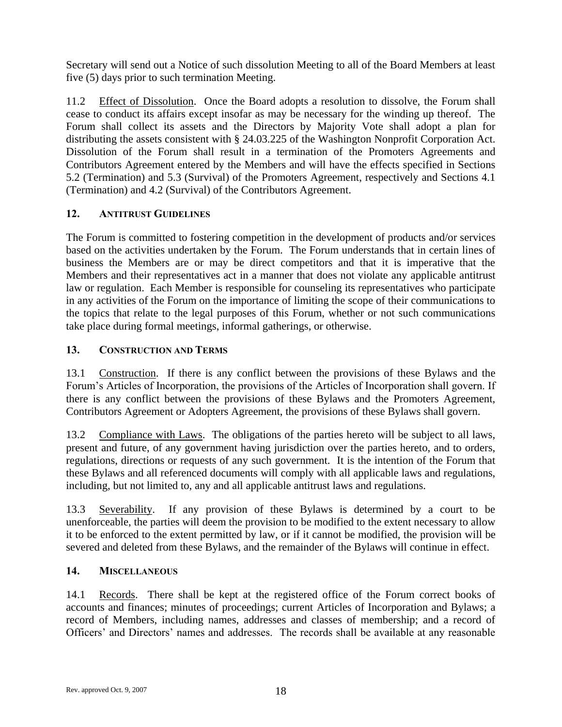Secretary will send out a Notice of such dissolution Meeting to all of the Board Members at least five (5) days prior to such termination Meeting.

11.2 Effect of Dissolution. Once the Board adopts a resolution to dissolve, the Forum shall cease to conduct its affairs except insofar as may be necessary for the winding up thereof. The Forum shall collect its assets and the Directors by Majority Vote shall adopt a plan for distributing the assets consistent with § 24.03.225 of the Washington Nonprofit Corporation Act. Dissolution of the Forum shall result in a termination of the Promoters Agreements and Contributors Agreement entered by the Members and will have the effects specified in Sections 5.2 (Termination) and 5.3 (Survival) of the Promoters Agreement, respectively and Sections 4.1 (Termination) and 4.2 (Survival) of the Contributors Agreement.

## **12. ANTITRUST GUIDELINES**

The Forum is committed to fostering competition in the development of products and/or services based on the activities undertaken by the Forum. The Forum understands that in certain lines of business the Members are or may be direct competitors and that it is imperative that the Members and their representatives act in a manner that does not violate any applicable antitrust law or regulation. Each Member is responsible for counseling its representatives who participate in any activities of the Forum on the importance of limiting the scope of their communications to the topics that relate to the legal purposes of this Forum, whether or not such communications take place during formal meetings, informal gatherings, or otherwise.

## **13. CONSTRUCTION AND TERMS**

13.1 Construction. If there is any conflict between the provisions of these Bylaws and the Forum's Articles of Incorporation, the provisions of the Articles of Incorporation shall govern. If there is any conflict between the provisions of these Bylaws and the Promoters Agreement, Contributors Agreement or Adopters Agreement, the provisions of these Bylaws shall govern.

13.2 Compliance with Laws. The obligations of the parties hereto will be subject to all laws, present and future, of any government having jurisdiction over the parties hereto, and to orders, regulations, directions or requests of any such government. It is the intention of the Forum that these Bylaws and all referenced documents will comply with all applicable laws and regulations, including, but not limited to, any and all applicable antitrust laws and regulations.

13.3 Severability. If any provision of these Bylaws is determined by a court to be unenforceable, the parties will deem the provision to be modified to the extent necessary to allow it to be enforced to the extent permitted by law, or if it cannot be modified, the provision will be severed and deleted from these Bylaws, and the remainder of the Bylaws will continue in effect.

## **14. MISCELLANEOUS**

14.1 Records. There shall be kept at the registered office of the Forum correct books of accounts and finances; minutes of proceedings; current Articles of Incorporation and Bylaws; a record of Members, including names, addresses and classes of membership; and a record of Officers' and Directors' names and addresses. The records shall be available at any reasonable